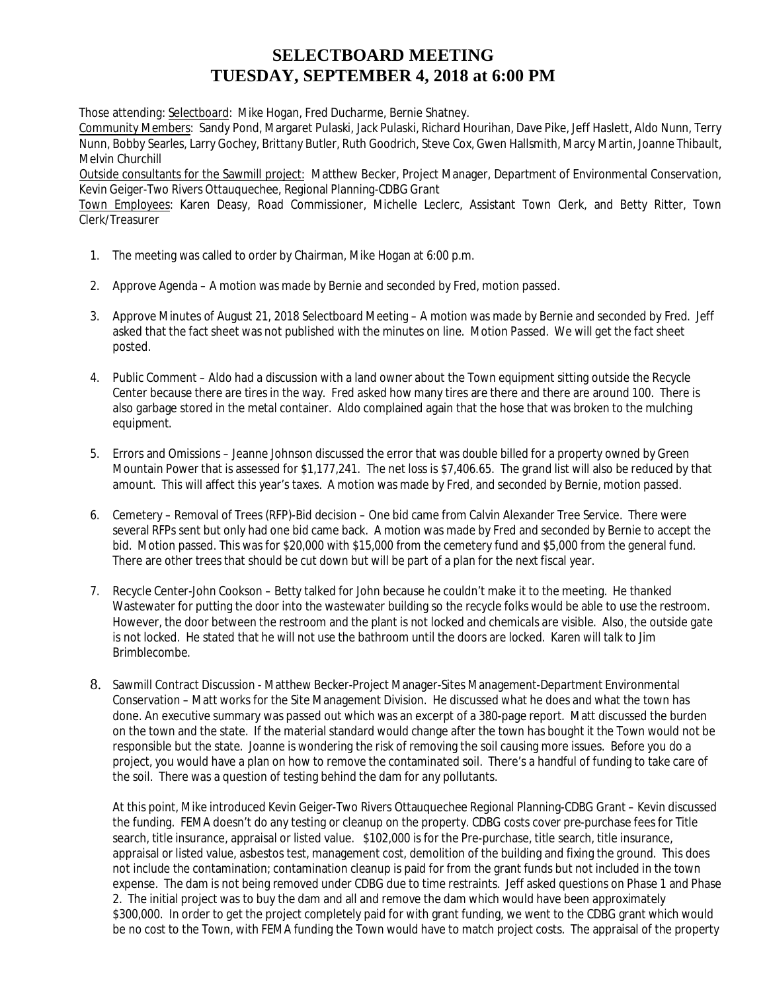## **SELECTBOARD MEETING TUESDAY, SEPTEMBER 4, 2018 at 6:00 PM**

Those attending: Selectboard: Mike Hogan, Fred Ducharme, Bernie Shatney.

Community Members: Sandy Pond, Margaret Pulaski, Jack Pulaski, Richard Hourihan, Dave Pike, Jeff Haslett, Aldo Nunn, Terry Nunn, Bobby Searles, Larry Gochey, Brittany Butler, Ruth Goodrich, Steve Cox, Gwen Hallsmith, Marcy Martin, Joanne Thibault, Melvin Churchill

 Outside consultants for the Sawmill project: Matthew Becker, Project Manager, Department of Environmental Conservation, Kevin Geiger-Two Rivers Ottauquechee, Regional Planning-CDBG Grant

Town Employees: Karen Deasy, Road Commissioner, Michelle Leclerc, Assistant Town Clerk, and Betty Ritter, Town Clerk/Treasurer

- 1. The meeting was called to order by Chairman, Mike Hogan at 6:00 p.m.
- 2. Approve Agenda A motion was made by Bernie and seconded by Fred, motion passed.
- 3. Approve Minutes of August 21, 2018 Selectboard Meeting A motion was made by Bernie and seconded by Fred. Jeff asked that the fact sheet was not published with the minutes on line. Motion Passed. We will get the fact sheet posted.
- 4. Public Comment Aldo had a discussion with a land owner about the Town equipment sitting outside the Recycle Center because there are tires in the way. Fred asked how many tires are there and there are around 100. There is also garbage stored in the metal container. Aldo complained again that the hose that was broken to the mulching equipment.
- 5. Errors and Omissions Jeanne Johnson discussed the error that was double billed for a property owned by Green Mountain Power that is assessed for \$1,177,241. The net loss is \$7,406.65. The grand list will also be reduced by that amount. This will affect this year's taxes. A motion was made by Fred, and seconded by Bernie, motion passed.
- 6. Cemetery Removal of Trees (RFP)-Bid decision One bid came from Calvin Alexander Tree Service. There were several RFPs sent but only had one bid came back. A motion was made by Fred and seconded by Bernie to accept the bid. Motion passed. This was for \$20,000 with \$15,000 from the cemetery fund and \$5,000 from the general fund. There are other trees that should be cut down but will be part of a plan for the next fiscal year.
- 7. Recycle Center-John Cookson Betty talked for John because he couldn't make it to the meeting. He thanked Wastewater for putting the door into the wastewater building so the recycle folks would be able to use the restroom. However, the door between the restroom and the plant is not locked and chemicals are visible. Also, the outside gate is not locked. He stated that he will not use the bathroom until the doors are locked. Karen will talk to Jim Brimblecombe.
- 8. Sawmill Contract Discussion Matthew Becker-Project Manager-Sites Management-Department Environmental Conservation – Matt works for the Site Management Division. He discussed what he does and what the town has done. An executive summary was passed out which was an excerpt of a 380-page report. Matt discussed the burden on the town and the state. If the material standard would change after the town has bought it the Town would not be responsible but the state. Joanne is wondering the risk of removing the soil causing more issues. Before you do a project, you would have a plan on how to remove the contaminated soil. There's a handful of funding to take care of the soil. There was a question of testing behind the dam for any pollutants.

At this point, Mike introduced Kevin Geiger-Two Rivers Ottauquechee Regional Planning-CDBG Grant – Kevin discussed the funding. FEMA doesn't do any testing or cleanup on the property. CDBG costs cover pre-purchase fees for Title search, title insurance, appraisal or listed value. \$102,000 is for the Pre-purchase, title search, title insurance, appraisal or listed value, asbestos test, management cost, demolition of the building and fixing the ground. This does not include the contamination; contamination cleanup is paid for from the grant funds but not included in the town expense. The dam is not being removed under CDBG due to time restraints. Jeff asked questions on Phase 1 and Phase 2. The initial project was to buy the dam and all and remove the dam which would have been approximately \$300,000. In order to get the project completely paid for with grant funding, we went to the CDBG grant which would be no cost to the Town, with FEMA funding the Town would have to match project costs. The appraisal of the property